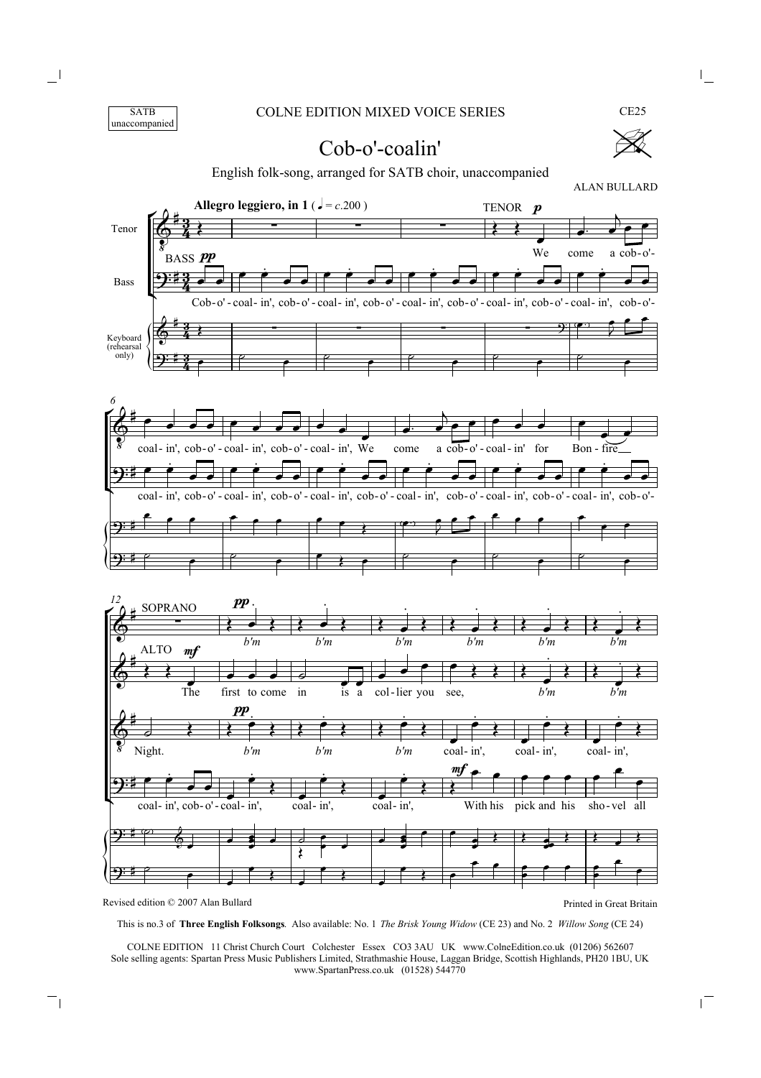



CE25

## Cob-o'-coalin'

English folk-song, arranged for SATB choir, unaccompanied



This is no.3 of **Three English Folksongs**. Also available: No. 1 *The Brisk Young Widow* (CE 23) and No. 2 *Willow Song* (CE 24)

COLNE EDITION 11 Christ Church Court Colchester Essex CO3 3AU UK www.ColneEdition.co.uk (01206) 562607 Sole selling agents: Spartan Press Music Publishers Limited, Strathmashie House, Laggan Bridge, Scottish Highlands, PH20 1BU, UK www.SpartanPress.co.uk (01528) 544770